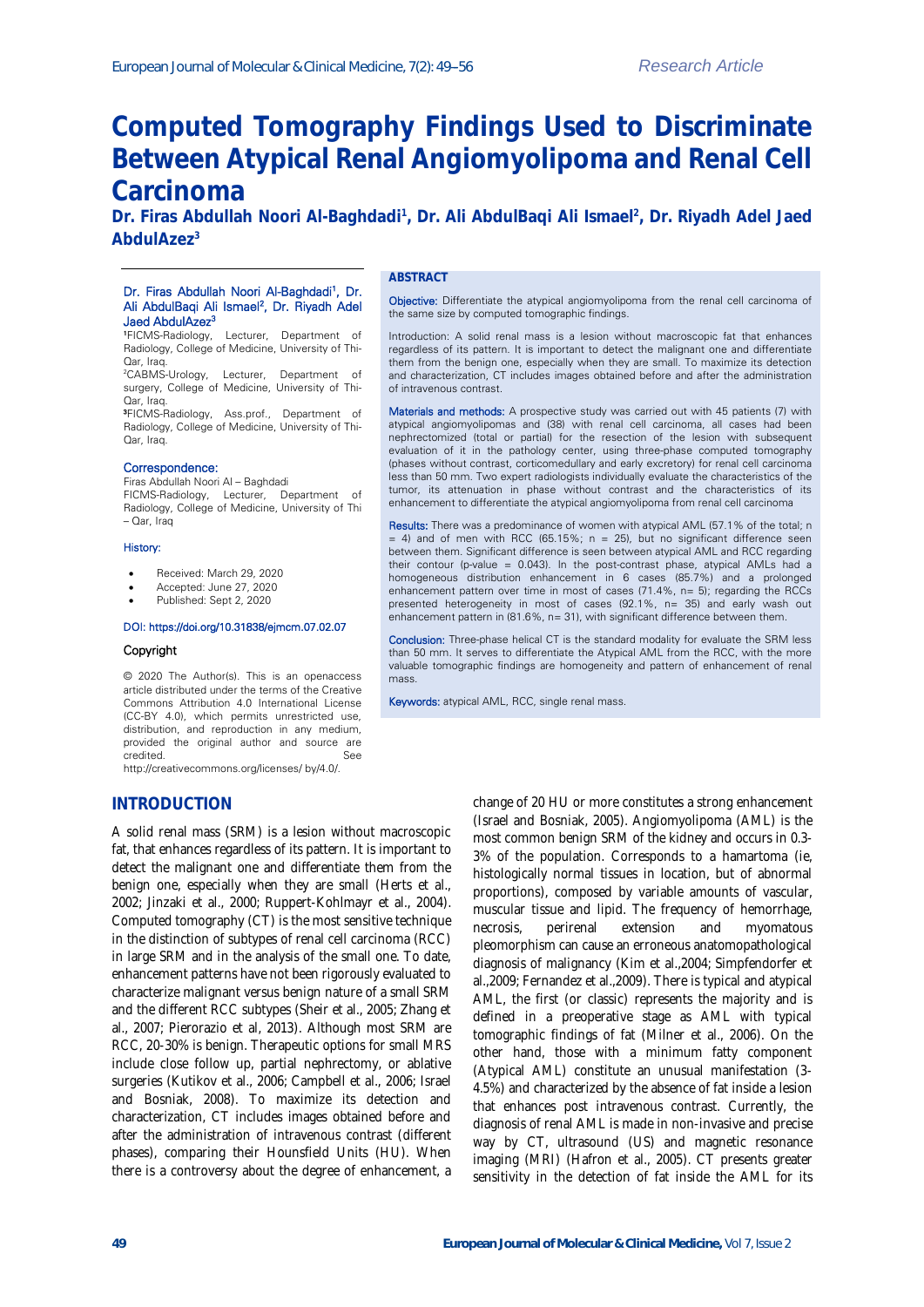# **Computed Tomography Findings Used to Discriminate Between Atypical Renal Angiomyolipoma and Renal Cell Carcinoma**

**Dr. Firas Abdullah Noori Al-Baghdadi<sup>1</sup> , Dr. Ali AbdulBaqi Ali Ismael<sup>2</sup> , Dr. Riyadh Adel Jaed AbdulAzez<sup>3</sup>**

## Dr. Firas Abdullah Noori Al-Baghdadi<sup>1</sup>, Dr. Ali AbdulBaqi Ali Ismael<sup>2</sup>, Dr. Riyadh Adel Jaed AbdulAzez<sup>3</sup>

<sup>1</sup>FICMS-Radiology, Lecturer, Department of Radiology, College of Medicine, University of Thi-Qar, Iraq.

<sup>2</sup>CABMS-Urology, Lecturer, Department of surgery, College of Medicine, University of Thi-Qar, Iraq.

<sup>3</sup>FICMS-Radiology, Ass.prof., Department of Radiology, College of Medicine, University of Thi-Qar, Iraq.

## Correspondence:

Firas Abdullah Noori Al – Baghdadi FICMS-Radiology, Lecturer, Department of Radiology, College of Medicine, University of Thi – Qar, Iraq

#### History:

- Received: March 29, 2020
- Accepted: June 27, 2020
- Published: Sept 2, 2020

## DOI: https://doi.org/10.31838/ejmcm.07.02.07

### Copyright

© 2020 The Author(s). This is an openaccess article distributed under the terms of the Creative Commons Attribution 4.0 International License (CC-BY 4.0), which permits unrestricted use, distribution, and reproduction in any medium, provided the original author and source are credited. See

http://creativecommons.org/licenses/ by/4.0/.

# **INTRODUCTION**

A solid renal mass (SRM) is a lesion without macroscopic fat, that enhances regardless of its pattern. It is important to detect the malignant one and differentiate them from the benign one, especially when they are small (Herts et al., 2002; Jinzaki et al., 2000; Ruppert-Kohlmayr et al., 2004). Computed tomography (CT) is the most sensitive technique in the distinction of subtypes of renal cell carcinoma (RCC) in large SRM and in the analysis of the small one. To date, enhancement patterns have not been rigorously evaluated to characterize malignant versus benign nature of a small SRM and the different RCC subtypes (Sheir et al., 2005; Zhang et al., 2007; Pierorazio et al, 2013). Although most SRM are RCC, 20-30% is benign. Therapeutic options for small MRS include close follow up, partial nephrectomy, or ablative surgeries (Kutikov et al., 2006; Campbell et al., 2006; Israel and Bosniak, 2008). To maximize its detection and characterization, CT includes images obtained before and after the administration of intravenous contrast (different phases), comparing their Hounsfield Units (HU). When there is a controversy about the degree of enhancement, a

## **ABSTRACT**

Objective: Differentiate the atypical angiomyolipoma from the renal cell carcinoma of the same size by computed tomographic findings.

Introduction: A solid renal mass is a lesion without macroscopic fat that enhances regardless of its pattern. It is important to detect the malignant one and differentiate them from the benign one, especially when they are small. To maximize its detection and characterization, CT includes images obtained before and after the administration of intravenous contrast.

Materials and methods: A prospective study was carried out with 45 patients (7) with atypical angiomyolipomas and (38) with renal cell carcinoma, all cases had been nephrectomized (total or partial) for the resection of the lesion with subsequent evaluation of it in the pathology center, using three-phase computed tomography (phases without contrast, corticomedullary and early excretory) for renal cell carcinoma less than 50 mm. Two expert radiologists individually evaluate the characteristics of the tumor, its attenuation in phase without contrast and the characteristics of its enhancement to differentiate the atypical angiomyolipoma from renal cell carcinoma

Results: There was a predominance of women with atypical AML (57.1% of the total; n  $= 4$ ) and of men with RCC (65.15%; n = 25), but no significant difference seen between them. Significant difference is seen between atypical AML and RCC regarding their contour (p-value = 0.043). In the post-contrast phase, atypical AMLs had a homogeneous distribution enhancement in 6 cases (85.7%) and a prolonged enhancement pattern over time in most of cases (71.4%, n= 5); regarding the RCCs presented heterogeneity in most of cases (92.1%, n= 35) and early wash out enhancement pattern in (81.6%, n= 31), with significant difference between them.

Conclusion: Three-phase helical CT is the standard modality for evaluate the SRM less than 50 mm. It serves to differentiate the Atypical AML from the RCC, with the more valuable tomographic findings are homogeneity and pattern of enhancement of renal mass.

Keywords: atypical AML, RCC, single renal mass.

change of 20 HU or more constitutes a strong enhancement (Israel and Bosniak, 2005). Angiomyolipoma (AML) is the most common benign SRM of the kidney and occurs in 0.3- 3% of the population. Corresponds to a hamartoma (ie, histologically normal tissues in location, but of abnormal proportions), composed by variable amounts of vascular, muscular tissue and lipid. The frequency of hemorrhage, necrosis, perirenal extension and myomatous pleomorphism can cause an erroneous anatomopathological diagnosis of malignancy (Kim et al.,2004; Simpfendorfer et al.,2009; Fernandez et al.,2009). There is typical and atypical AML, the first (or classic) represents the majority and is defined in a preoperative stage as AML with typical tomographic findings of fat (Milner et al., 2006). On the other hand, those with a minimum fatty component (Atypical AML) constitute an unusual manifestation (3- 4.5%) and characterized by the absence of fat inside a lesion that enhances post intravenous contrast. Currently, the diagnosis of renal AML is made in non-invasive and precise way by CT, ultrasound (US) and magnetic resonance imaging (MRI) (Hafron et al., 2005). CT presents greater sensitivity in the detection of fat inside the AML for its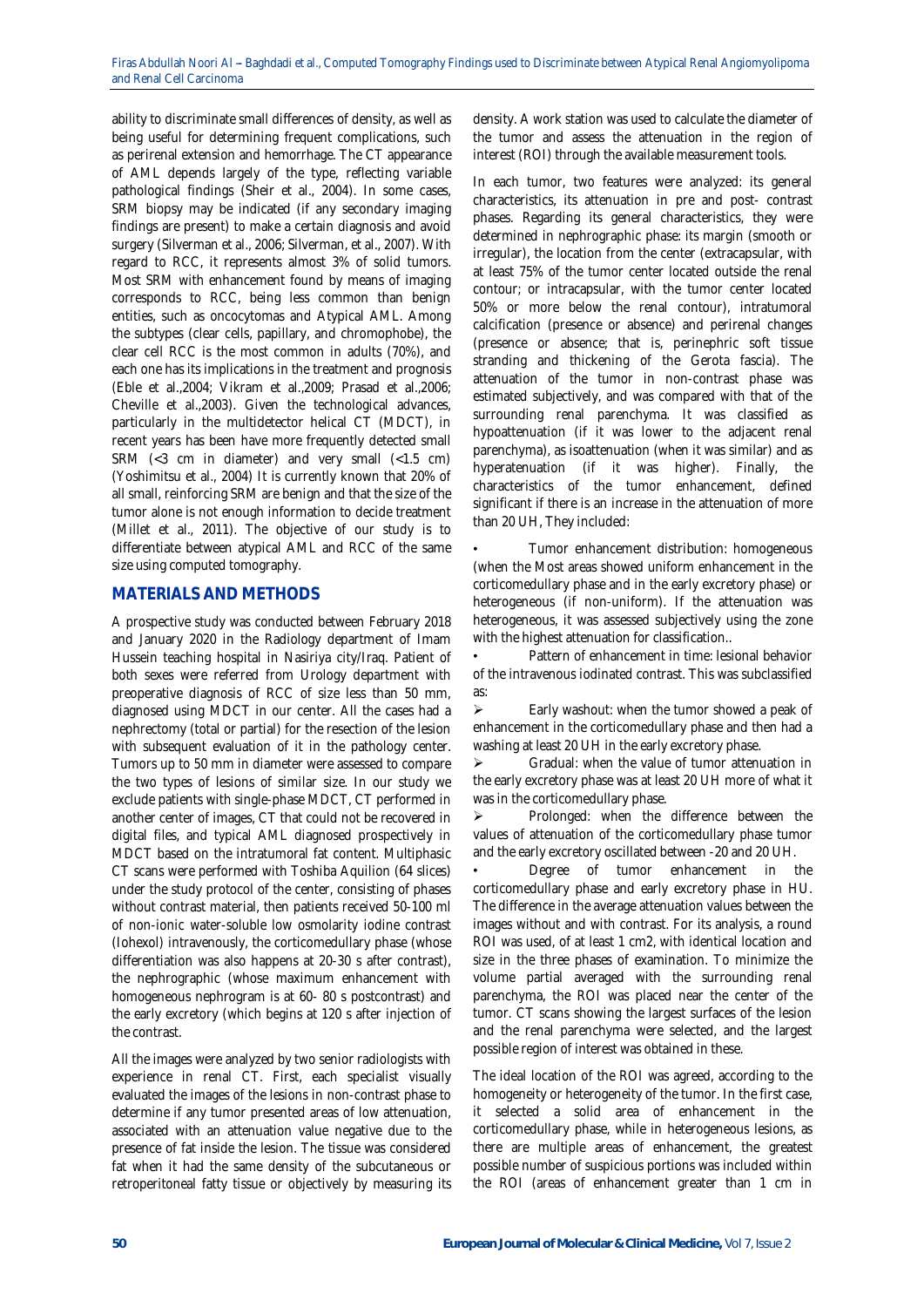ability to discriminate small differences of density, as well as being useful for determining frequent complications, such as perirenal extension and hemorrhage. The CT appearance of AML depends largely of the type, reflecting variable pathological findings (Sheir et al., 2004). In some cases, SRM biopsy may be indicated (if any secondary imaging findings are present) to make a certain diagnosis and avoid surgery (Silverman et al., 2006; Silverman, et al., 2007). With regard to RCC, it represents almost 3% of solid tumors. Most SRM with enhancement found by means of imaging corresponds to RCC, being less common than benign entities, such as oncocytomas and Atypical AML. Among the subtypes (clear cells, papillary, and chromophobe), the clear cell RCC is the most common in adults (70%), and each one has its implications in the treatment and prognosis (Eble et al.,2004; Vikram et al.,2009; Prasad et al.,2006; Cheville et al.,2003). Given the technological advances, particularly in the multidetector helical CT (MDCT), in recent years has been have more frequently detected small SRM  $\left( <\frac{3}{2} \text{ cm } \text{in diameter} \right)$  and very small  $\left( <1.5 \text{ cm} \right)$ (Yoshimitsu et al., 2004) It is currently known that 20% of all small, reinforcing SRM are benign and that the size of the tumor alone is not enough information to decide treatment (Millet et al., 2011). The objective of our study is to differentiate between atypical AML and RCC of the same size using computed tomography.

# **MATERIALS AND METHODS**

A prospective study was conducted between February 2018 and January 2020 in the Radiology department of Imam Hussein teaching hospital in Nasiriya city/Iraq. Patient of both sexes were referred from Urology department with preoperative diagnosis of RCC of size less than 50 mm, diagnosed using MDCT in our center. All the cases had a nephrectomy (total or partial) for the resection of the lesion with subsequent evaluation of it in the pathology center. Tumors up to 50 mm in diameter were assessed to compare the two types of lesions of similar size. In our study we exclude patients with single-phase MDCT, CT performed in another center of images, CT that could not be recovered in digital files, and typical AML diagnosed prospectively in MDCT based on the intratumoral fat content. Multiphasic CT scans were performed with Toshiba Aquilion (64 slices) under the study protocol of the center, consisting of phases without contrast material, then patients received 50-100 ml of non-ionic water-soluble low osmolarity iodine contrast (Iohexol) intravenously, the corticomedullary phase (whose differentiation was also happens at 20-30 s after contrast), the nephrographic (whose maximum enhancement with homogeneous nephrogram is at 60- 80 s postcontrast) and the early excretory (which begins at 120 s after injection of the contrast.

All the images were analyzed by two senior radiologists with experience in renal CT. First, each specialist visually evaluated the images of the lesions in non-contrast phase to determine if any tumor presented areas of low attenuation, associated with an attenuation value negative due to the presence of fat inside the lesion. The tissue was considered fat when it had the same density of the subcutaneous or retroperitoneal fatty tissue or objectively by measuring its

density. A work station was used to calculate the diameter of the tumor and assess the attenuation in the region of interest (ROI) through the available measurement tools.

In each tumor, two features were analyzed: its general characteristics, its attenuation in pre and post- contrast phases. Regarding its general characteristics, they were determined in nephrographic phase: its margin (smooth or irregular), the location from the center (extracapsular, with at least 75% of the tumor center located outside the renal contour; or intracapsular, with the tumor center located 50% or more below the renal contour), intratumoral calcification (presence or absence) and perirenal changes (presence or absence; that is, perinephric soft tissue stranding and thickening of the Gerota fascia). The attenuation of the tumor in non-contrast phase was estimated subjectively, and was compared with that of the surrounding renal parenchyma. It was classified as hypoattenuation (if it was lower to the adjacent renal parenchyma), as isoattenuation (when it was similar) and as hyperatenuation (if it was higher). Finally, the characteristics of the tumor enhancement, defined significant if there is an increase in the attenuation of more than 20 UH, They included:

• Tumor enhancement distribution: homogeneous (when the Most areas showed uniform enhancement in the corticomedullary phase and in the early excretory phase) or heterogeneous (if non-uniform). If the attenuation was heterogeneous, it was assessed subjectively using the zone with the highest attenuation for classification..

• Pattern of enhancement in time: lesional behavior of the intravenous iodinated contrast. This was subclassified as:

 $\triangleright$  Early washout: when the tumor showed a peak of enhancement in the corticomedullary phase and then had a washing at least 20 UH in the early excretory phase.

 Gradual: when the value of tumor attenuation in the early excretory phase was at least 20 UH more of what it was in the corticomedullary phase.

 $\triangleright$  Prolonged: when the difference between the values of attenuation of the corticomedullary phase tumor and the early excretory oscillated between -20 and 20 UH.

Degree of tumor enhancement in the corticomedullary phase and early excretory phase in HU. The difference in the average attenuation values between the images without and with contrast. For its analysis, a round ROI was used, of at least 1 cm2, with identical location and size in the three phases of examination. To minimize the volume partial averaged with the surrounding renal parenchyma, the ROI was placed near the center of the tumor. CT scans showing the largest surfaces of the lesion and the renal parenchyma were selected, and the largest possible region of interest was obtained in these.

The ideal location of the ROI was agreed, according to the homogeneity or heterogeneity of the tumor. In the first case, it selected a solid area of enhancement in the corticomedullary phase, while in heterogeneous lesions, as there are multiple areas of enhancement, the greatest possible number of suspicious portions was included within the ROI (areas of enhancement greater than 1 cm in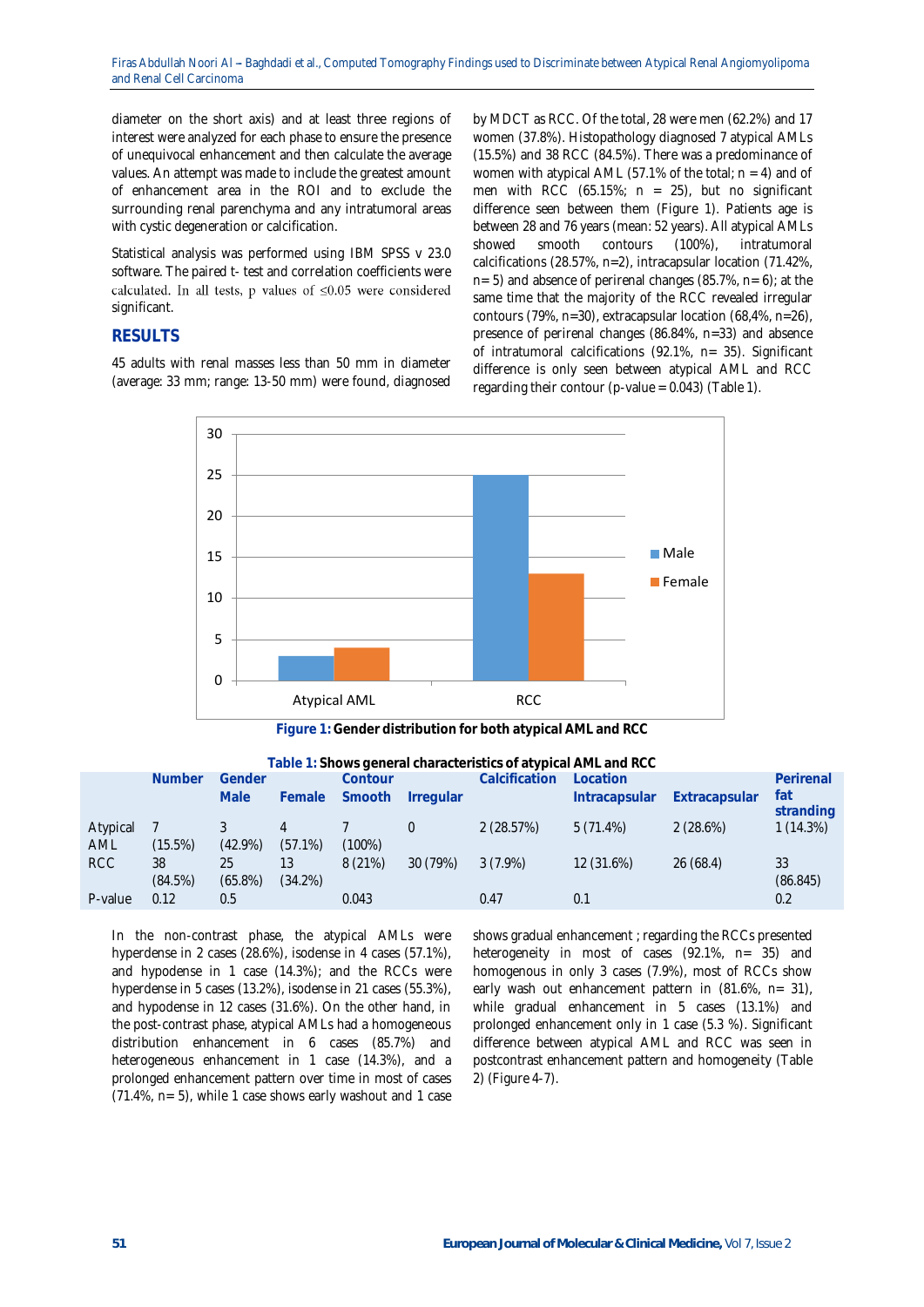diameter on the short axis) and at least three regions of interest were analyzed for each phase to ensure the presence of unequivocal enhancement and then calculate the average values. An attempt was made to include the greatest amount of enhancement area in the ROI and to exclude the surrounding renal parenchyma and any intratumoral areas with cystic degeneration or calcification.

Statistical analysis was performed using IBM SPSS v 23.0 software. The paired t- test and correlation coefficients were calculated. In all tests, p values of  $\leq 0.05$  were considered significant.

# **RESULTS**

45 adults with renal masses less than 50 mm in diameter (average: 33 mm; range: 13-50 mm) were found, diagnosed by MDCT as RCC. Of the total, 28 were men (62.2%) and 17 women (37.8%). Histopathology diagnosed 7 atypical AMLs (15.5%) and 38 RCC (84.5%). There was a predominance of women with atypical AML (57.1% of the total;  $n = 4$ ) and of men with RCC  $(65.15\%; n = 25)$ , but no significant difference seen between them (Figure 1). Patients age is between 28 and 76 years (mean: 52 years). All atypical AMLs showed smooth contours (100%), intratumoral calcifications (28.57%, n=2), intracapsular location (71.42%, n= 5) and absence of perirenal changes (85.7%, n= 6); at the same time that the majority of the RCC revealed irregular contours (79%, n=30), extracapsular location (68,4%, n=26), presence of perirenal changes (86.84%, n=33) and absence of intratumoral calcifications (92.1%, n= 35). Significant difference is only seen between atypical AML and RCC regarding their contour (p-value =  $0.043$ ) (Table 1).



**Figure 1: Gender distribution for both atypical AML and RCC**

**Table 1: Shows general characteristics of atypical AML and RCC**

|                 | <b>Number</b> | Gender           |                  | Contour   |                  | Calcification | Location      |               | Perirenal        |
|-----------------|---------------|------------------|------------------|-----------|------------------|---------------|---------------|---------------|------------------|
|                 |               | Male             | Female           | Smooth    | <b>Irregular</b> |               | Intracapsular | Extracapsular | fat<br>stranding |
| Atypical<br>AML | (15.5%)       | $(42.9\%)$       | $(57.1\%)$       | $(100\%)$ |                  | 2(28.57%)     | $5(71.4\%)$   | 2(28.6%)      | 1(14.3%)         |
| <b>RCC</b>      | 38<br>(84.5%) | 25<br>$(65.8\%)$ | 13<br>$(34.2\%)$ | 8(21%)    | 30 (79%)         | $3(7.9\%)$    | 12 (31.6%)    | 26(68.4)      | 33<br>(86.845)   |
| P-value         | 0.12          | 0.5              |                  | 0.043     |                  | 0.47          | 0.1           |               | 0.2              |

In the non-contrast phase, the atypical AMLs were hyperdense in 2 cases (28.6%), isodense in 4 cases (57.1%), and hypodense in 1 case (14.3%); and the RCCs were hyperdense in 5 cases (13.2%), isodense in 21 cases (55.3%), and hypodense in 12 cases (31.6%). On the other hand, in the post-contrast phase, atypical AMLs had a homogeneous distribution enhancement in 6 cases (85.7%) and heterogeneous enhancement in 1 case (14.3%), and a prolonged enhancement pattern over time in most of cases (71.4%, n= 5), while 1 case shows early washout and 1 case

shows gradual enhancement ; regarding the RCCs presented heterogeneity in most of cases (92.1%, n= 35) and homogenous in only 3 cases (7.9%), most of RCCs show early wash out enhancement pattern in (81.6%, n= 31), while gradual enhancement in 5 cases (13.1%) and prolonged enhancement only in 1 case (5.3 %). Significant difference between atypical AML and RCC was seen in postcontrast enhancement pattern and homogeneity (Table 2) (Figure 4-7).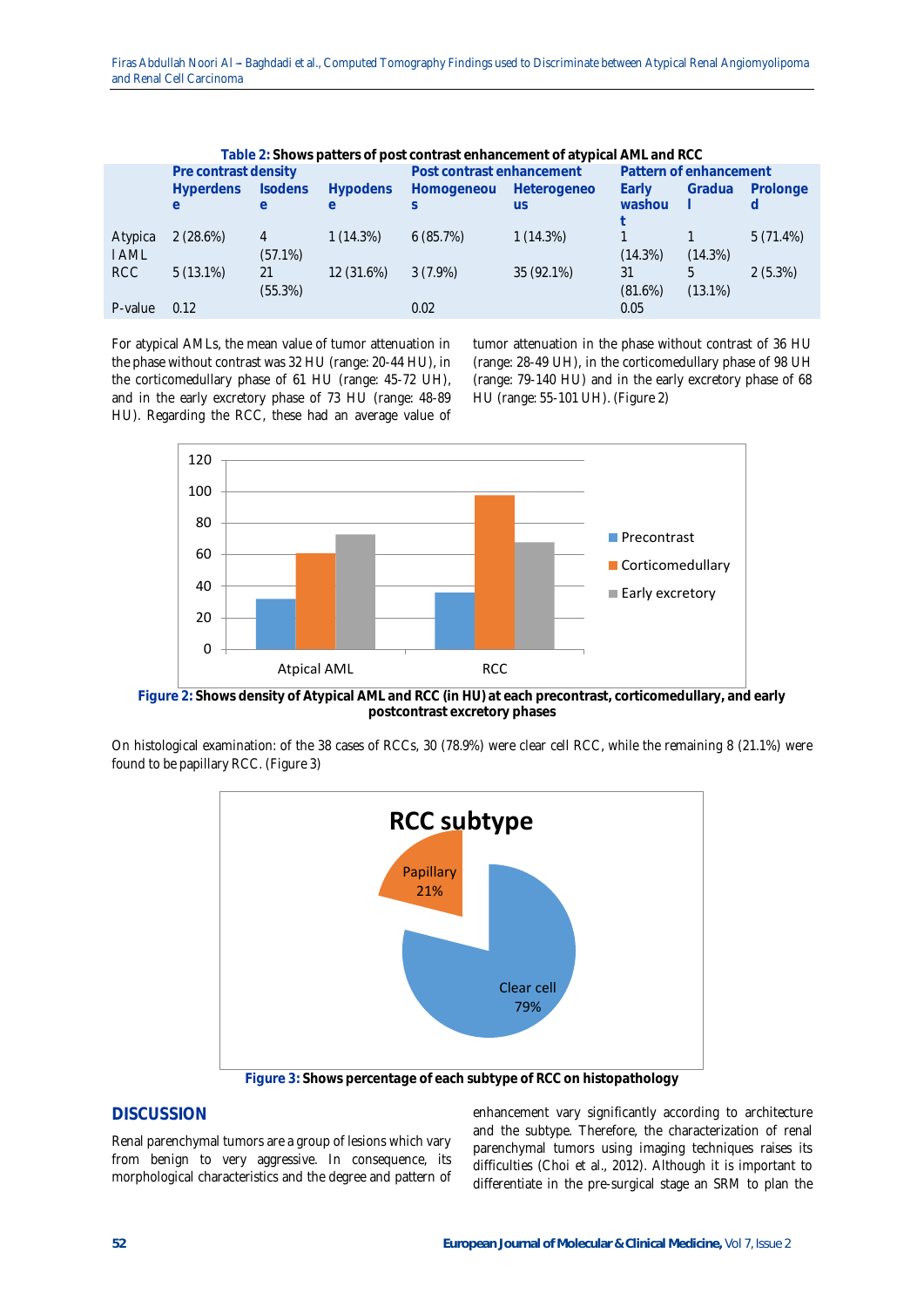| Table 2: Shows patters of post contrast enhancement of atypical AML and RCC . |                      |                |                 |                           |                        |            |            |            |  |  |  |
|-------------------------------------------------------------------------------|----------------------|----------------|-----------------|---------------------------|------------------------|------------|------------|------------|--|--|--|
|                                                                               | Pre contrast density |                |                 | Post contrast enhancement | Pattern of enhancement |            |            |            |  |  |  |
|                                                                               | <b>Hyperdens</b>     | <b>Isodens</b> | <b>Hypodens</b> | Homogeneou                | Heterogeneo            | Early      | Gradua     | Prolonge   |  |  |  |
|                                                                               | e                    | $\theta$       | e               |                           | <b>US</b>              | washou     |            |            |  |  |  |
|                                                                               |                      |                |                 |                           |                        |            |            |            |  |  |  |
| Atypica                                                                       | 2(28.6%)             |                | 1(14.3%)        | 6(85.7%)                  | 1(14.3%)               |            |            | 5(71.4%)   |  |  |  |
| <b>I AML</b>                                                                  |                      | $(57.1\%)$     |                 |                           |                        | $(14.3\%)$ | $(14.3\%)$ |            |  |  |  |
| RCC                                                                           | $5(13.1\%)$          | 21             | 12 (31.6%)      | $3(7.9\%)$                | 35 (92.1%)             | 31         | 5          | $2(5.3\%)$ |  |  |  |
|                                                                               |                      | (55.3%)        |                 |                           |                        | $(81.6\%)$ | $(13.1\%)$ |            |  |  |  |
| P-value                                                                       | 0.12                 |                |                 | 0.02                      |                        | 0.05       |            |            |  |  |  |

For atypical AMLs, the mean value of tumor attenuation in the phase without contrast was 32 HU (range: 20-44 HU), in the corticomedullary phase of 61 HU (range: 45-72 UH), and in the early excretory phase of 73 HU (range: 48-89 HU). Regarding the RCC, these had an average value of

tumor attenuation in the phase without contrast of 36 HU (range: 28-49 UH), in the corticomedullary phase of 98 UH (range: 79-140 HU) and in the early excretory phase of 68 HU (range: 55-101 UH). (Figure 2)



**Figure 2: Shows density of Atypical AML and RCC (in HU) at each precontrast, corticomedullary, and early postcontrast excretory phases**

On histological examination: of the 38 cases of RCCs, 30 (78.9%) were clear cell RCC, while the remaining 8 (21.1%) were found to be papillary RCC. (Figure 3)



**Figure 3: Shows percentage of each subtype of RCC on histopathology**

# **DISCUSSION**

Renal parenchymal tumors are a group of lesions which vary from benign to very aggressive. In consequence, its morphological characteristics and the degree and pattern of enhancement vary significantly according to architecture and the subtype. Therefore, the characterization of renal parenchymal tumors using imaging techniques raises its difficulties (Choi et al., 2012). Although it is important to differentiate in the pre-surgical stage an SRM to plan the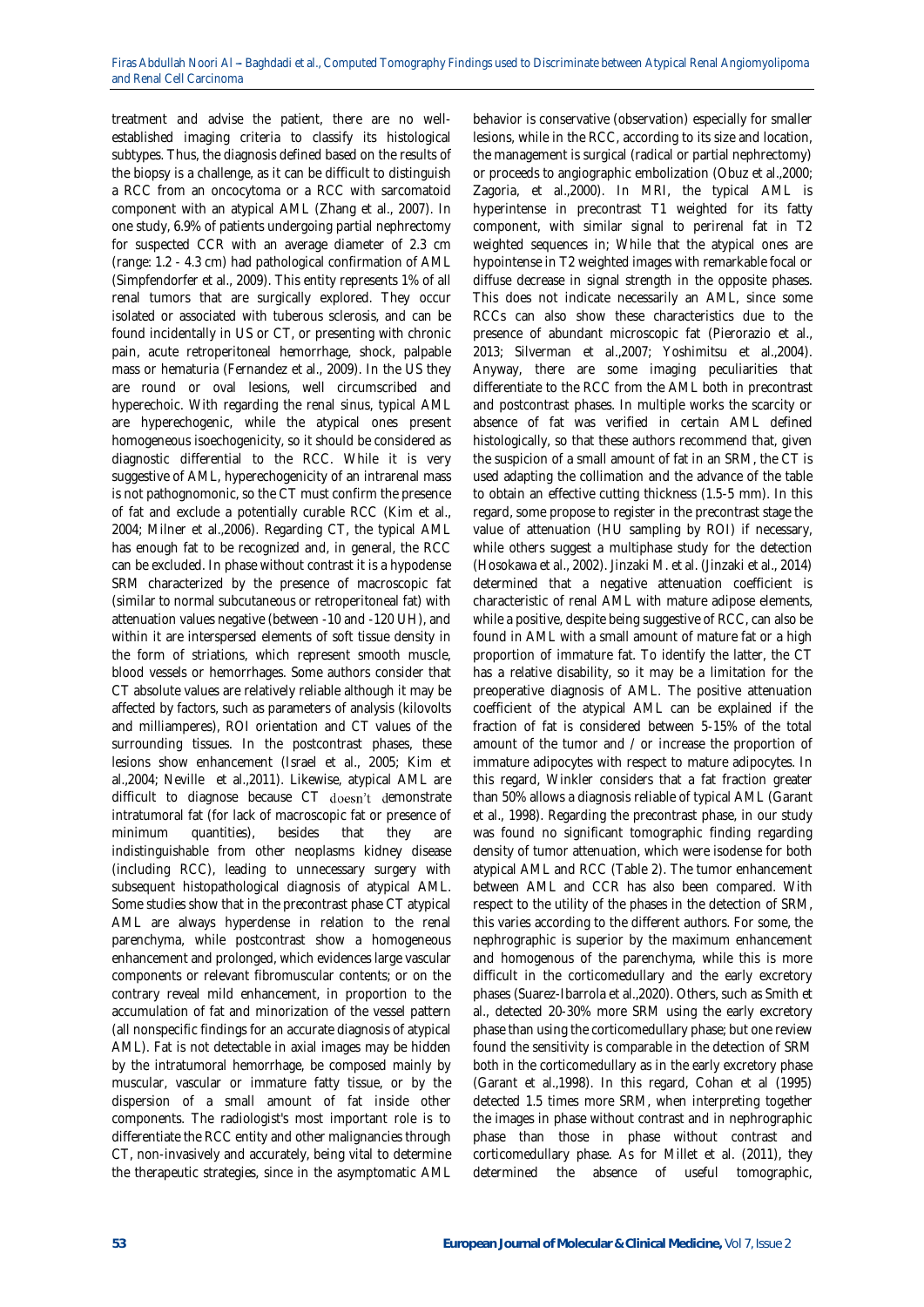treatment and advise the patient, there are no wellestablished imaging criteria to classify its histological subtypes. Thus, the diagnosis defined based on the results of the biopsy is a challenge, as it can be difficult to distinguish a RCC from an oncocytoma or a RCC with sarcomatoid component with an atypical AML (Zhang et al., 2007). In one study, 6.9% of patients undergoing partial nephrectomy for suspected CCR with an average diameter of 2.3 cm (range: 1.2 - 4.3 cm) had pathological confirmation of AML (Simpfendorfer et al., 2009). This entity represents 1% of all renal tumors that are surgically explored. They occur isolated or associated with tuberous sclerosis, and can be found incidentally in US or CT, or presenting with chronic pain, acute retroperitoneal hemorrhage, shock, palpable mass or hematuria (Fernandez et al., 2009). In the US they are round or oval lesions, well circumscribed and hyperechoic. With regarding the renal sinus, typical AML are hyperechogenic, while the atypical ones present homogeneous isoechogenicity, so it should be considered as diagnostic differential to the RCC. While it is very suggestive of AML, hyperechogenicity of an intrarenal mass is not pathognomonic, so the CT must confirm the presence of fat and exclude a potentially curable RCC (Kim et al., 2004; Milner et al.,2006). Regarding CT, the typical AML has enough fat to be recognized and, in general, the RCC can be excluded. In phase without contrast it is a hypodense SRM characterized by the presence of macroscopic fat (similar to normal subcutaneous or retroperitoneal fat) with attenuation values negative (between -10 and -120 UH), and within it are interspersed elements of soft tissue density in the form of striations, which represent smooth muscle, blood vessels or hemorrhages. Some authors consider that CT absolute values are relatively reliable although it may be affected by factors, such as parameters of analysis (kilovolts and milliamperes), ROI orientation and CT values of the surrounding tissues. In the postcontrast phases, these lesions show enhancement (Israel et al., 2005; Kim et al.,2004; Neville et al.,2011). Likewise, atypical AML are difficult to diagnose because CT doesn't demonstrate intratumoral fat (for lack of macroscopic fat or presence of minimum auantities), besides that they are minimum quantities), besides that they are indistinguishable from other neoplasms kidney disease (including RCC), leading to unnecessary surgery with subsequent histopathological diagnosis of atypical AML. Some studies show that in the precontrast phase CT atypical AML are always hyperdense in relation to the renal parenchyma, while postcontrast show a homogeneous enhancement and prolonged, which evidences large vascular components or relevant fibromuscular contents; or on the contrary reveal mild enhancement, in proportion to the accumulation of fat and minorization of the vessel pattern (all nonspecific findings for an accurate diagnosis of atypical AML). Fat is not detectable in axial images may be hidden by the intratumoral hemorrhage, be composed mainly by muscular, vascular or immature fatty tissue, or by the dispersion of a small amount of fat inside other components. The radiologist's most important role is to differentiate the RCC entity and other malignancies through CT, non-invasively and accurately, being vital to determine the therapeutic strategies, since in the asymptomatic AML

behavior is conservative (observation) especially for smaller lesions, while in the RCC, according to its size and location, the management is surgical (radical or partial nephrectomy) or proceeds to angiographic embolization (Obuz et al.,2000; Zagoria, et al.,2000). In MRI, the typical AML is hyperintense in precontrast T1 weighted for its fatty component, with similar signal to perirenal fat in T2 weighted sequences in; While that the atypical ones are hypointense in T2 weighted images with remarkable focal or diffuse decrease in signal strength in the opposite phases. This does not indicate necessarily an AML, since some RCCs can also show these characteristics due to the presence of abundant microscopic fat (Pierorazio et al., 2013; Silverman et al.,2007; Yoshimitsu et al.,2004). Anyway, there are some imaging peculiarities that differentiate to the RCC from the AML both in precontrast and postcontrast phases. In multiple works the scarcity or absence of fat was verified in certain AML defined histologically, so that these authors recommend that, given the suspicion of a small amount of fat in an SRM, the CT is used adapting the collimation and the advance of the table to obtain an effective cutting thickness (1.5-5 mm). In this regard, some propose to register in the precontrast stage the value of attenuation (HU sampling by ROI) if necessary, while others suggest a multiphase study for the detection (Hosokawa et al., 2002). Jinzaki M. et al. (Jinzaki et al., 2014) determined that a negative attenuation coefficient is characteristic of renal AML with mature adipose elements, while a positive, despite being suggestive of RCC, can also be found in AML with a small amount of mature fat or a high proportion of immature fat. To identify the latter, the CT has a relative disability, so it may be a limitation for the preoperative diagnosis of AML. The positive attenuation coefficient of the atypical AML can be explained if the fraction of fat is considered between 5-15% of the total amount of the tumor and / or increase the proportion of immature adipocytes with respect to mature adipocytes. In this regard, Winkler considers that a fat fraction greater than 50% allows a diagnosis reliable of typical AML (Garant et al., 1998). Regarding the precontrast phase, in our study was found no significant tomographic finding regarding density of tumor attenuation, which were isodense for both atypical AML and RCC (Table 2). The tumor enhancement between AML and CCR has also been compared. With respect to the utility of the phases in the detection of SRM, this varies according to the different authors. For some, the nephrographic is superior by the maximum enhancement and homogenous of the parenchyma, while this is more difficult in the corticomedullary and the early excretory phases (Suarez-Ibarrola et al.,2020). Others, such as Smith et al., detected 20-30% more SRM using the early excretory phase than using the corticomedullary phase; but one review found the sensitivity is comparable in the detection of SRM both in the corticomedullary as in the early excretory phase (Garant et al.,1998). In this regard, Cohan et al (1995) detected 1.5 times more SRM, when interpreting together the images in phase without contrast and in nephrographic phase than those in phase without contrast and corticomedullary phase. As for Millet et al. (2011), they determined the absence of useful tomographic,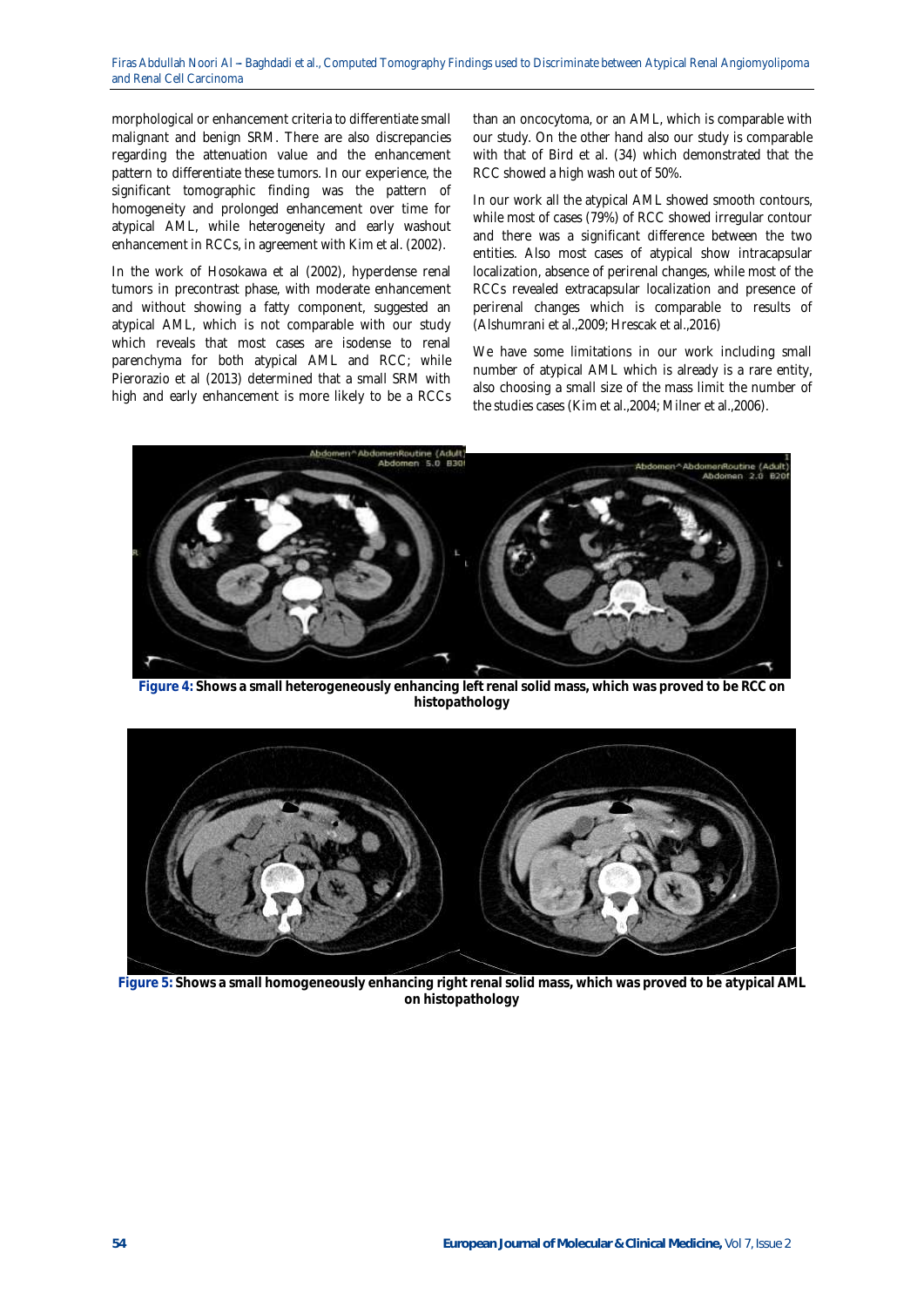morphological or enhancement criteria to differentiate small malignant and benign SRM. There are also discrepancies regarding the attenuation value and the enhancement pattern to differentiate these tumors. In our experience, the significant tomographic finding was the pattern of homogeneity and prolonged enhancement over time for atypical AML, while heterogeneity and early washout enhancement in RCCs, in agreement with Kim et al. (2002).

In the work of Hosokawa et al (2002), hyperdense renal tumors in precontrast phase, with moderate enhancement and without showing a fatty component, suggested an atypical AML, which is not comparable with our study which reveals that most cases are isodense to renal parenchyma for both atypical AML and RCC; while Pierorazio et al (2013) determined that a small SRM with high and early enhancement is more likely to be a RCCs

than an oncocytoma, or an AML, which is comparable with our study. On the other hand also our study is comparable with that of Bird et al. (34) which demonstrated that the RCC showed a high wash out of 50%.

In our work all the atypical AML showed smooth contours, while most of cases (79%) of RCC showed irregular contour and there was a significant difference between the two entities. Also most cases of atypical show intracapsular localization, absence of perirenal changes, while most of the RCCs revealed extracapsular localization and presence of perirenal changes which is comparable to results of (Alshumrani et al.,2009; Hrescak et al.,2016)

We have some limitations in our work including small number of atypical AML which is already is a rare entity, also choosing a small size of the mass limit the number of the studies cases (Kim et al.,2004; Milner et al.,2006).



**Figure 4: Shows a small heterogeneously enhancing left renal solid mass, which was proved to be RCC on histopathology**



**Figure 5: Shows a small homogeneously enhancing right renal solid mass, which was proved to be atypical AML on histopathology**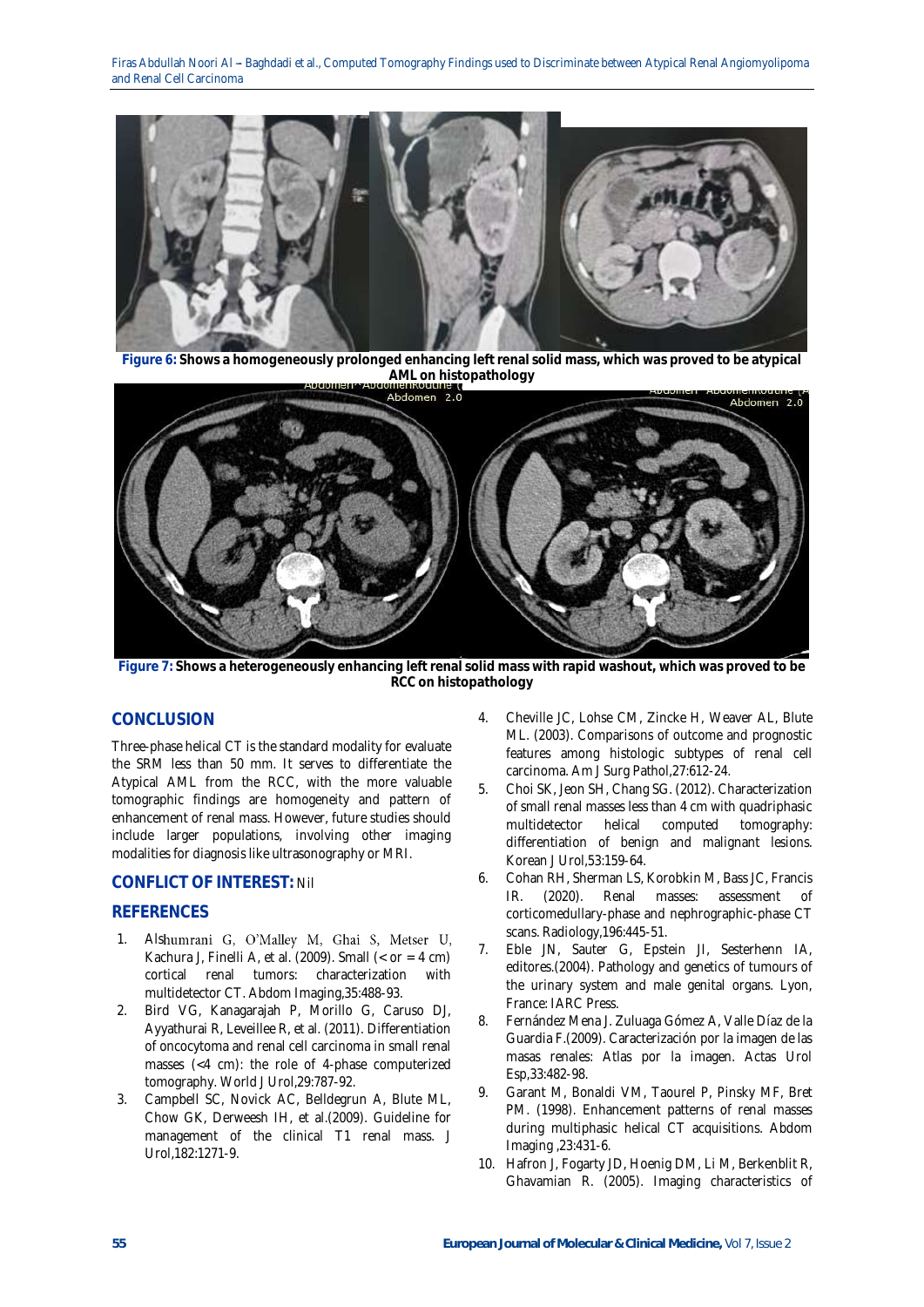

**Figure 6: Shows a homogeneously prolonged enhancing left renal solid mass, which was proved to be atypical AML on histopathology**



**Figure 7: Shows a heterogeneously enhancing left renal solid mass with rapid washout, which was proved to be RCC on histopathology**

# **CONCLUSION**

Three-phase helical CT is the standard modality for evaluate the SRM less than 50 mm. It serves to differentiate the Atypical AML from the RCC, with the more valuable tomographic findings are homogeneity and pattern of enhancement of renal mass. However, future studies should include larger populations, involving other imaging modalities for diagnosis like ultrasonography or MRI.

# **CONFLICT OF INTEREST:** Nil

# **REFERENCES**

- 1. Alshumrani G, O'Malley M, Ghai S, Metser U, Kachura J, Finelli A, et al. (2009). Small  $(<$  or = 4 cm) cortical renal tumors: characterization with multidetector CT. Abdom Imaging,35:488-93.
- 2. Bird VG, Kanagarajah P, Morillo G, Caruso DJ, Ayyathurai R, Leveillee R, et al. (2011). Differentiation of oncocytoma and renal cell carcinoma in small renal masses (<4 cm): the role of 4-phase computerized tomography. World J Urol,29:787-92.
- 3. Campbell SC, Novick AC, Belldegrun A, Blute ML, Chow GK, Derweesh IH, et al.(2009). Guideline for management of the clinical T1 renal mass. J Urol,182:1271-9.
- 4. Cheville JC, Lohse CM, Zincke H, Weaver AL, Blute ML. (2003). Comparisons of outcome and prognostic features among histologic subtypes of renal cell carcinoma. Am J Surg Pathol,27:612-24.
- 5. Choi SK, Jeon SH, Chang SG. (2012). Characterization of small renal masses less than 4 cm with quadriphasic multidetector helical computed tomography: differentiation of benign and malignant lesions. Korean J Urol,53:159-64.
- 6. Cohan RH, Sherman LS, Korobkin M, Bass JC, Francis IR. (2020). Renal masses: assessment of corticomedullary-phase and nephrographic-phase CT scans. Radiology,196:445-51.
- 7. Eble JN, Sauter G, Epstein JI, Sesterhenn IA, editores.(2004). Pathology and genetics of tumours of the urinary system and male genital organs. Lyon, France: IARC Press.
- 8. Fernández Mena J. Zuluaga Gómez A, Valle Díaz de la Guardia F.(2009). Caracterización por la imagen de las masas renales: Atlas por la imagen. Actas Urol Esp,33:482-98.
- 9. Garant M, Bonaldi VM, Taourel P, Pinsky MF, Bret PM. (1998). Enhancement patterns of renal masses during multiphasic helical CT acquisitions. Abdom Imaging ,23:431-6.
- 10. Hafron J, Fogarty JD, Hoenig DM, Li M, Berkenblit R, Ghavamian R. (2005). Imaging characteristics of